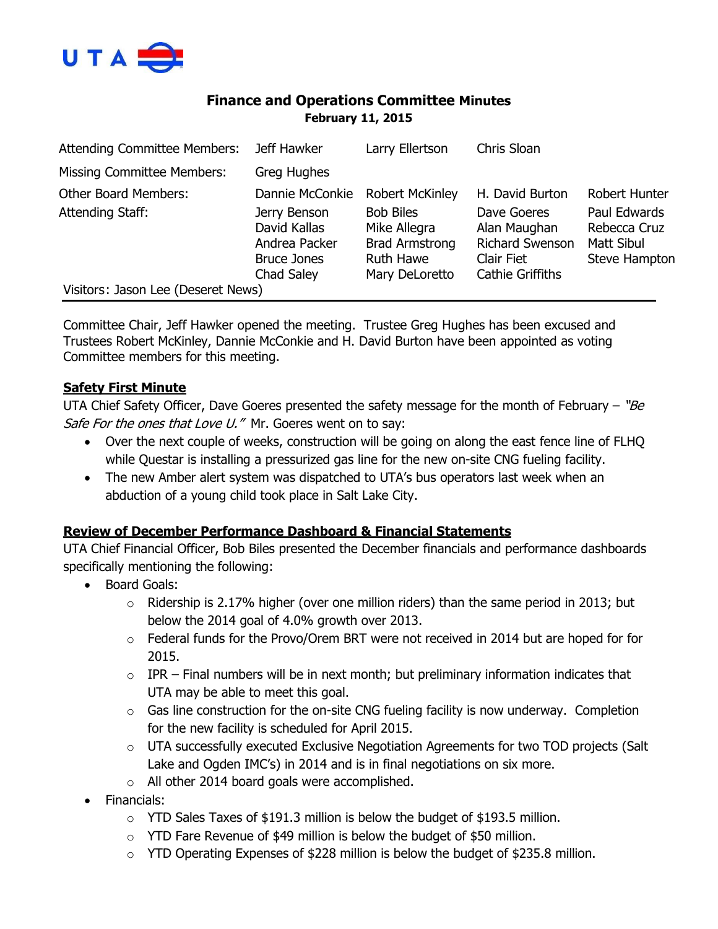

## **Finance and Operations Committee Minutes February 11, 2015**

| <b>Attending Committee Members:</b> | Jeff Hawker                                                                       | Larry Ellertson                                                                                 | Chris Sloan                                                                                    |                                                                    |
|-------------------------------------|-----------------------------------------------------------------------------------|-------------------------------------------------------------------------------------------------|------------------------------------------------------------------------------------------------|--------------------------------------------------------------------|
| <b>Missing Committee Members:</b>   | <b>Greg Hughes</b>                                                                |                                                                                                 |                                                                                                |                                                                    |
| <b>Other Board Members:</b>         | Dannie McConkie                                                                   | <b>Robert McKinley</b>                                                                          | H. David Burton                                                                                | Robert Hunter                                                      |
| Attending Staff:                    | Jerry Benson<br>David Kallas<br>Andrea Packer<br><b>Bruce Jones</b><br>Chad Saley | <b>Bob Biles</b><br>Mike Allegra<br><b>Brad Armstrong</b><br><b>Ruth Hawe</b><br>Mary DeLoretto | Dave Goeres<br>Alan Maughan<br><b>Richard Swenson</b><br>Clair Fiet<br><b>Cathie Griffiths</b> | Paul Edwards<br>Rebecca Cruz<br>Matt Sibul<br><b>Steve Hampton</b> |
| Visitors: Jason Lee (Deseret News)  |                                                                                   |                                                                                                 |                                                                                                |                                                                    |

Committee Chair, Jeff Hawker opened the meeting. Trustee Greg Hughes has been excused and Trustees Robert McKinley, Dannie McConkie and H. David Burton have been appointed as voting Committee members for this meeting.

### **Safety First Minute**

UTA Chief Safety Officer, Dave Goeres presented the safety message for the month of February – "Be Safe For the ones that Love U." Mr. Goeres went on to say:

- Over the next couple of weeks, construction will be going on along the east fence line of FLHQ while Questar is installing a pressurized gas line for the new on-site CNG fueling facility.
- The new Amber alert system was dispatched to UTA's bus operators last week when an abduction of a young child took place in Salt Lake City.

### **Review of December Performance Dashboard & Financial Statements**

UTA Chief Financial Officer, Bob Biles presented the December financials and performance dashboards specifically mentioning the following:

- Board Goals:
	- $\circ$  Ridership is 2.17% higher (over one million riders) than the same period in 2013; but below the 2014 goal of 4.0% growth over 2013.
	- o Federal funds for the Provo/Orem BRT were not received in 2014 but are hoped for for 2015.
	- $\circ$  IPR Final numbers will be in next month; but preliminary information indicates that UTA may be able to meet this goal.
	- $\circ$  Gas line construction for the on-site CNG fueling facility is now underway. Completion for the new facility is scheduled for April 2015.
	- $\circ$  UTA successfully executed Exclusive Negotiation Agreements for two TOD projects (Salt Lake and Ogden IMC's) in 2014 and is in final negotiations on six more.
	- o All other 2014 board goals were accomplished.
- Financials:
	- $\circ$  YTD Sales Taxes of \$191.3 million is below the budget of \$193.5 million.
	- $\circ$  YTD Fare Revenue of \$49 million is below the budget of \$50 million.
	- $\circ$  YTD Operating Expenses of \$228 million is below the budget of \$235.8 million.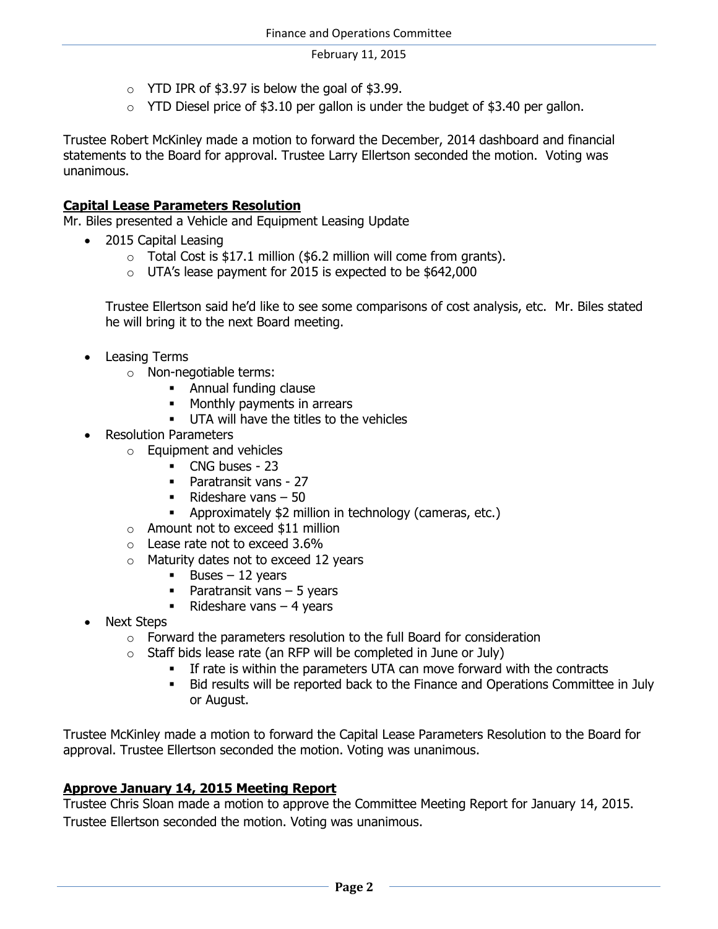- $\circ$  YTD IPR of \$3.97 is below the goal of \$3.99.
- $\circ$  YTD Diesel price of \$3.10 per gallon is under the budget of \$3.40 per gallon.

Trustee Robert McKinley made a motion to forward the December, 2014 dashboard and financial statements to the Board for approval. Trustee Larry Ellertson seconded the motion. Voting was unanimous.

#### **Capital Lease Parameters Resolution**

Mr. Biles presented a Vehicle and Equipment Leasing Update

- 2015 Capital Leasing
	- $\circ$  Total Cost is \$17.1 million (\$6.2 million will come from grants).
	- o UTA's lease payment for 2015 is expected to be \$642,000

Trustee Ellertson said he'd like to see some comparisons of cost analysis, etc. Mr. Biles stated he will bring it to the next Board meeting.

- Leasing Terms
	- o Non-negotiable terms:
		- **Annual funding clause**
		- Monthly payments in arrears
		- **UTA will have the titles to the vehicles**
- Resolution Parameters
	- o Equipment and vehicles
		- CNG buses 23
		- Paratransit vans 27
		- Rideshare vans  $-50$
		- Approximately \$2 million in technology (cameras, etc.)
	- o Amount not to exceed \$11 million
	- o Lease rate not to exceed 3.6%
	- o Maturity dates not to exceed 12 years
		- $\blacksquare$  Buses 12 years
		- **Paratransit vans 5 years**
		- Rideshare vans  $-4$  years
- Next Steps
	- o Forward the parameters resolution to the full Board for consideration
	- $\circ$  Staff bids lease rate (an RFP will be completed in June or July)
		- If rate is within the parameters UTA can move forward with the contracts
		- Bid results will be reported back to the Finance and Operations Committee in July or August.

Trustee McKinley made a motion to forward the Capital Lease Parameters Resolution to the Board for approval. Trustee Ellertson seconded the motion. Voting was unanimous.

### **Approve January 14, 2015 Meeting Report**

Trustee Chris Sloan made a motion to approve the Committee Meeting Report for January 14, 2015. Trustee Ellertson seconded the motion. Voting was unanimous.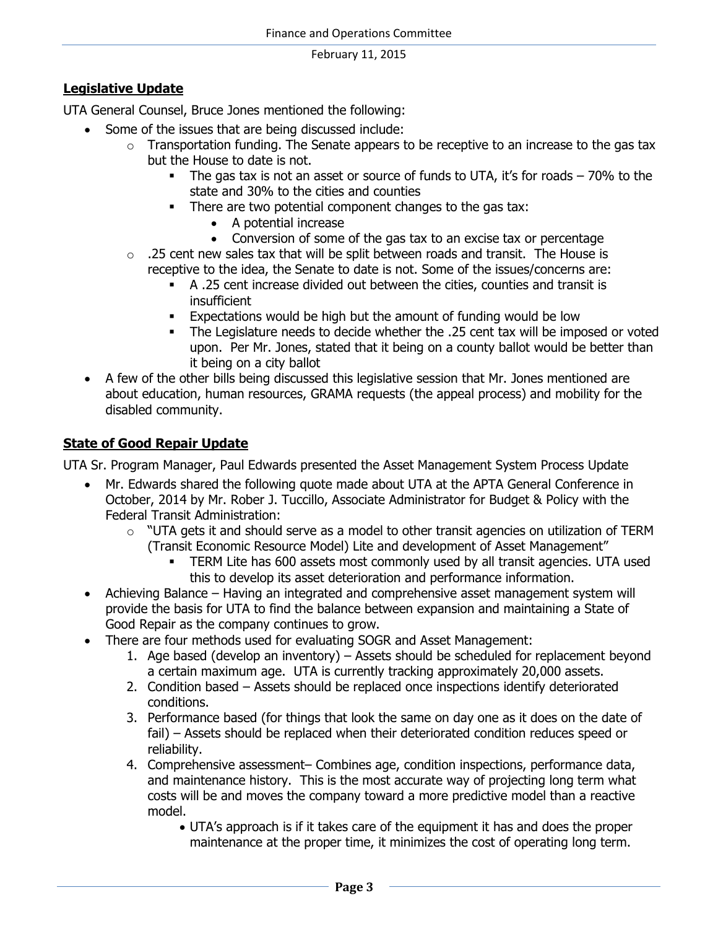### **Legislative Update**

UTA General Counsel, Bruce Jones mentioned the following:

- Some of the issues that are being discussed include:
	- $\circ$  Transportation funding. The Senate appears to be receptive to an increase to the gas tax but the House to date is not.
		- The gas tax is not an asset or source of funds to UTA, it's for roads 70% to the state and 30% to the cities and counties
		- There are two potential component changes to the gas tax:
			- A potential increase
			- Conversion of some of the gas tax to an excise tax or percentage
	- $\circ$  . 25 cent new sales tax that will be split between roads and transit. The House is receptive to the idea, the Senate to date is not. Some of the issues/concerns are:
		- A .25 cent increase divided out between the cities, counties and transit is insufficient
		- **Expectations would be high but the amount of funding would be low**
		- The Legislature needs to decide whether the .25 cent tax will be imposed or voted upon. Per Mr. Jones, stated that it being on a county ballot would be better than it being on a city ballot
- A few of the other bills being discussed this legislative session that Mr. Jones mentioned are about education, human resources, GRAMA requests (the appeal process) and mobility for the disabled community.

### **State of Good Repair Update**

UTA Sr. Program Manager, Paul Edwards presented the Asset Management System Process Update

- Mr. Edwards shared the following quote made about UTA at the APTA General Conference in October, 2014 by Mr. Rober J. Tuccillo, Associate Administrator for Budget & Policy with the Federal Transit Administration:
	- o "UTA gets it and should serve as a model to other transit agencies on utilization of TERM (Transit Economic Resource Model) Lite and development of Asset Management"
		- TERM Lite has 600 assets most commonly used by all transit agencies. UTA used this to develop its asset deterioration and performance information.
- Achieving Balance Having an integrated and comprehensive asset management system will provide the basis for UTA to find the balance between expansion and maintaining a State of Good Repair as the company continues to grow.
- There are four methods used for evaluating SOGR and Asset Management:
	- 1. Age based (develop an inventory) Assets should be scheduled for replacement beyond a certain maximum age. UTA is currently tracking approximately 20,000 assets.
	- 2. Condition based Assets should be replaced once inspections identify deteriorated conditions.
	- 3. Performance based (for things that look the same on day one as it does on the date of fail) – Assets should be replaced when their deteriorated condition reduces speed or reliability.
	- 4. Comprehensive assessment– Combines age, condition inspections, performance data, and maintenance history. This is the most accurate way of projecting long term what costs will be and moves the company toward a more predictive model than a reactive model.

 UTA's approach is if it takes care of the equipment it has and does the proper maintenance at the proper time, it minimizes the cost of operating long term.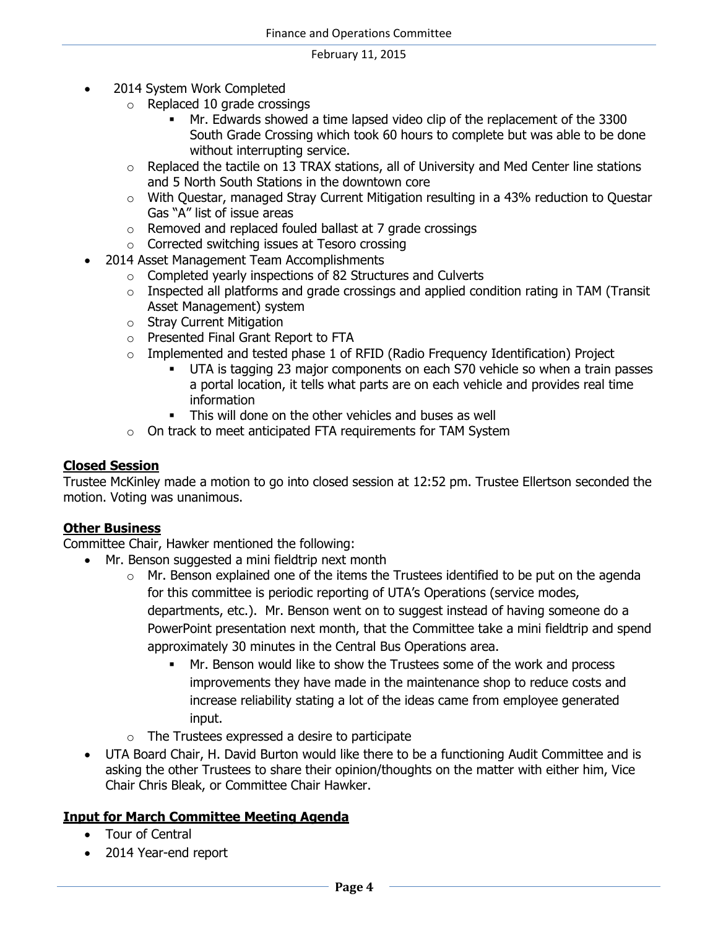- 2014 System Work Completed
	- o Replaced 10 grade crossings
		- Mr. Edwards showed a time lapsed video clip of the replacement of the 3300 South Grade Crossing which took 60 hours to complete but was able to be done without interrupting service.
	- $\circ$  Replaced the tactile on 13 TRAX stations, all of University and Med Center line stations and 5 North South Stations in the downtown core
	- $\circ$  With Questar, managed Stray Current Mitigation resulting in a 43% reduction to Questar Gas "A" list of issue areas
	- o Removed and replaced fouled ballast at 7 grade crossings
	- o Corrected switching issues at Tesoro crossing
- 2014 Asset Management Team Accomplishments
	- o Completed yearly inspections of 82 Structures and Culverts
	- $\circ$  Inspected all platforms and grade crossings and applied condition rating in TAM (Transit Asset Management) system
	- o Stray Current Mitigation
	- o Presented Final Grant Report to FTA
	- $\circ$  Implemented and tested phase 1 of RFID (Radio Frequency Identification) Project
		- UTA is tagging 23 major components on each S70 vehicle so when a train passes a portal location, it tells what parts are on each vehicle and provides real time information
		- This will done on the other vehicles and buses as well
	- o On track to meet anticipated FTA requirements for TAM System

#### **Closed Session**

Trustee McKinley made a motion to go into closed session at 12:52 pm. Trustee Ellertson seconded the motion. Voting was unanimous.

#### **Other Business**

Committee Chair, Hawker mentioned the following:

- Mr. Benson suggested a mini fieldtrip next month
	- o Mr. Benson explained one of the items the Trustees identified to be put on the agenda for this committee is periodic reporting of UTA's Operations (service modes, departments, etc.). Mr. Benson went on to suggest instead of having someone do a PowerPoint presentation next month, that the Committee take a mini fieldtrip and spend approximately 30 minutes in the Central Bus Operations area.
		- Mr. Benson would like to show the Trustees some of the work and process improvements they have made in the maintenance shop to reduce costs and increase reliability stating a lot of the ideas came from employee generated input.
	- o The Trustees expressed a desire to participate
- UTA Board Chair, H. David Burton would like there to be a functioning Audit Committee and is asking the other Trustees to share their opinion/thoughts on the matter with either him, Vice Chair Chris Bleak, or Committee Chair Hawker.

#### **Input for March Committee Meeting Agenda**

- Tour of Central
- 2014 Year-end report